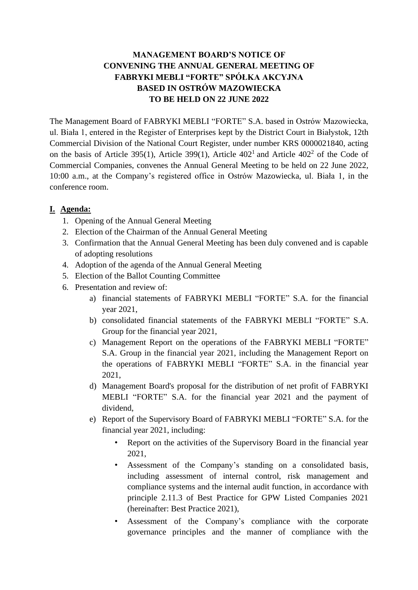## **MANAGEMENT BOARD'S NOTICE OF CONVENING THE ANNUAL GENERAL MEETING OF FABRYKI MEBLI "FORTE" SPÓŁKA AKCYJNA BASED IN OSTRÓW MAZOWIECKA TO BE HELD ON 22 JUNE 2022**

The Management Board of FABRYKI MEBLI "FORTE" S.A. based in Ostrów Mazowiecka, ul. Biała 1, entered in the Register of Enterprises kept by the District Court in Białystok, 12th Commercial Division of the National Court Register, under number KRS 0000021840, acting on the basis of Article 395(1), Article 399(1), Article  $402<sup>1</sup>$  and Article  $402<sup>2</sup>$  of the Code of Commercial Companies, convenes the Annual General Meeting to be held on 22 June 2022, 10:00 a.m., at the Company's registered office in Ostrów Mazowiecka, ul. Biała 1, in the conference room.

## **I. Agenda:**

- 1. Opening of the Annual General Meeting
- 2. Election of the Chairman of the Annual General Meeting
- 3. Confirmation that the Annual General Meeting has been duly convened and is capable of adopting resolutions
- 4. Adoption of the agenda of the Annual General Meeting
- 5. Election of the Ballot Counting Committee
- 6. Presentation and review of:
	- a) financial statements of FABRYKI MEBLI "FORTE" S.A. for the financial year 2021,
	- b) consolidated financial statements of the FABRYKI MEBLI "FORTE" S.A. Group for the financial year 2021,
	- c) Management Report on the operations of the FABRYKI MEBLI "FORTE" S.A. Group in the financial year 2021, including the Management Report on the operations of FABRYKI MEBLI "FORTE" S.A. in the financial year 2021,
	- d) Management Board's proposal for the distribution of net profit of FABRYKI MEBLI "FORTE" S.A. for the financial year 2021 and the payment of dividend,
	- e) Report of the Supervisory Board of FABRYKI MEBLI "FORTE" S.A. for the financial year 2021, including:
		- Report on the activities of the Supervisory Board in the financial year 2021,
		- Assessment of the Company's standing on a consolidated basis, including assessment of internal control, risk management and compliance systems and the internal audit function, in accordance with principle 2.11.3 of Best Practice for GPW Listed Companies 2021 (hereinafter: Best Practice 2021),
		- Assessment of the Company's compliance with the corporate governance principles and the manner of compliance with the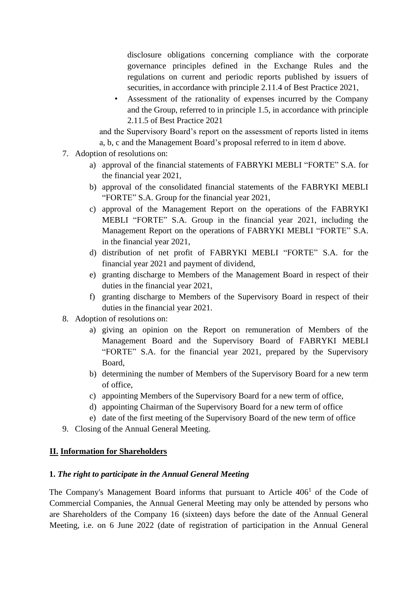disclosure obligations concerning compliance with the corporate governance principles defined in the Exchange Rules and the regulations on current and periodic reports published by issuers of securities, in accordance with principle 2.11.4 of Best Practice 2021,

• Assessment of the rationality of expenses incurred by the Company and the Group, referred to in principle 1.5, in accordance with principle 2.11.5 of Best Practice 2021

and the Supervisory Board's report on the assessment of reports listed in items a, b, c and the Management Board's proposal referred to in item d above.

- 7. Adoption of resolutions on:
	- a) approval of the financial statements of FABRYKI MEBLI "FORTE" S.A. for the financial year 2021,
	- b) approval of the consolidated financial statements of the FABRYKI MEBLI "FORTE" S.A. Group for the financial year 2021,
	- c) approval of the Management Report on the operations of the FABRYKI MEBLI "FORTE" S.A. Group in the financial year 2021, including the Management Report on the operations of FABRYKI MEBLI "FORTE" S.A. in the financial year 2021,
	- d) distribution of net profit of FABRYKI MEBLI "FORTE" S.A. for the financial year 2021 and payment of dividend,
	- e) granting discharge to Members of the Management Board in respect of their duties in the financial year 2021,
	- f) granting discharge to Members of the Supervisory Board in respect of their duties in the financial year 2021.
- 8. Adoption of resolutions on:
	- a) giving an opinion on the Report on remuneration of Members of the Management Board and the Supervisory Board of FABRYKI MEBLI "FORTE" S.A. for the financial year 2021, prepared by the Supervisory Board,
	- b) determining the number of Members of the Supervisory Board for a new term of office,
	- c) appointing Members of the Supervisory Board for a new term of office,
	- d) appointing Chairman of the Supervisory Board for a new term of office
	- e) date of the first meeting of the Supervisory Board of the new term of office
- 9. Closing of the Annual General Meeting.

### **II. Information for Shareholders**

### **1.** *The right to participate in the Annual General Meeting*

The Company's Management Board informs that pursuant to Article 406<sup>1</sup> of the Code of Commercial Companies, the Annual General Meeting may only be attended by persons who are Shareholders of the Company 16 (sixteen) days before the date of the Annual General Meeting, i.e. on 6 June 2022 (date of registration of participation in the Annual General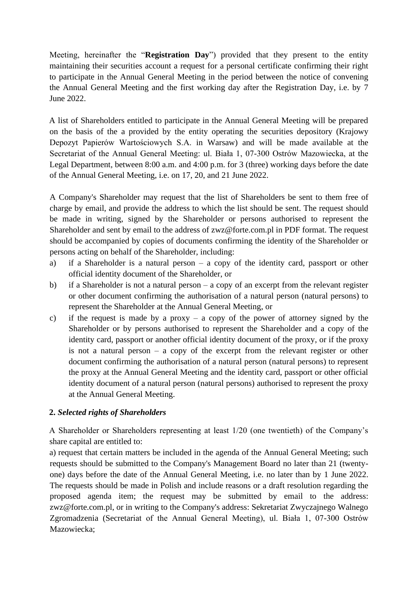Meeting, hereinafter the "**Registration Day**") provided that they present to the entity maintaining their securities account a request for a personal certificate confirming their right to participate in the Annual General Meeting in the period between the notice of convening the Annual General Meeting and the first working day after the Registration Day, i.e. by 7 June 2022.

A list of Shareholders entitled to participate in the Annual General Meeting will be prepared on the basis of the a provided by the entity operating the securities depository (Krajowy Depozyt Papierów Wartościowych S.A. in Warsaw) and will be made available at the Secretariat of the Annual General Meeting: ul. Biała 1, 07-300 Ostrów Mazowiecka, at the Legal Department, between 8:00 a.m. and 4:00 p.m. for 3 (three) working days before the date of the Annual General Meeting, i.e. on 17, 20, and 21 June 2022.

A Company's Shareholder may request that the list of Shareholders be sent to them free of charge by email, and provide the address to which the list should be sent. The request should be made in writing, signed by the Shareholder or persons authorised to represent the Shareholder and sent by email to the address of zwz@forte.com.pl in PDF format. The request should be accompanied by copies of documents confirming the identity of the Shareholder or persons acting on behalf of the Shareholder, including:

- a) if a Shareholder is a natural person a copy of the identity card, passport or other official identity document of the Shareholder, or
- b) if a Shareholder is not a natural person a copy of an excerpt from the relevant register or other document confirming the authorisation of a natural person (natural persons) to represent the Shareholder at the Annual General Meeting, or
- c) if the request is made by a proxy a copy of the power of attorney signed by the Shareholder or by persons authorised to represent the Shareholder and a copy of the identity card, passport or another official identity document of the proxy, or if the proxy is not a natural person – a copy of the excerpt from the relevant register or other document confirming the authorisation of a natural person (natural persons) to represent the proxy at the Annual General Meeting and the identity card, passport or other official identity document of a natural person (natural persons) authorised to represent the proxy at the Annual General Meeting.

### **2.** *Selected rights of Shareholders*

A Shareholder or Shareholders representing at least 1/20 (one twentieth) of the Company's share capital are entitled to:

a) request that certain matters be included in the agenda of the Annual General Meeting; such requests should be submitted to the Company's Management Board no later than 21 (twentyone) days before the date of the Annual General Meeting, i.e. no later than by 1 June 2022. The requests should be made in Polish and include reasons or a draft resolution regarding the proposed agenda item; the request may be submitted by email to the address: zwz@forte.com.pl, or in writing to the Company's address: Sekretariat Zwyczajnego Walnego Zgromadzenia (Secretariat of the Annual General Meeting), ul. Biała 1, 07-300 Ostrów Mazowiecka;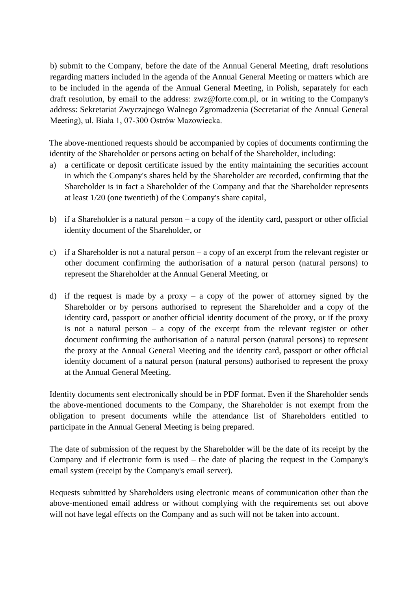b) submit to the Company, before the date of the Annual General Meeting, draft resolutions regarding matters included in the agenda of the Annual General Meeting or matters which are to be included in the agenda of the Annual General Meeting, in Polish, separately for each draft resolution, by email to the address: zwz@forte.com.pl, or in writing to the Company's address: Sekretariat Zwyczajnego Walnego Zgromadzenia (Secretariat of the Annual General Meeting), ul. Biała 1, 07-300 Ostrów Mazowiecka.

The above-mentioned requests should be accompanied by copies of documents confirming the identity of the Shareholder or persons acting on behalf of the Shareholder, including:

- a) a certificate or deposit certificate issued by the entity maintaining the securities account in which the Company's shares held by the Shareholder are recorded, confirming that the Shareholder is in fact a Shareholder of the Company and that the Shareholder represents at least 1/20 (one twentieth) of the Company's share capital,
- b) if a Shareholder is a natural person a copy of the identity card, passport or other official identity document of the Shareholder, or
- c) if a Shareholder is not a natural person a copy of an excerpt from the relevant register or other document confirming the authorisation of a natural person (natural persons) to represent the Shareholder at the Annual General Meeting, or
- d) if the request is made by a proxy a copy of the power of attorney signed by the Shareholder or by persons authorised to represent the Shareholder and a copy of the identity card, passport or another official identity document of the proxy, or if the proxy is not a natural person – a copy of the excerpt from the relevant register or other document confirming the authorisation of a natural person (natural persons) to represent the proxy at the Annual General Meeting and the identity card, passport or other official identity document of a natural person (natural persons) authorised to represent the proxy at the Annual General Meeting.

Identity documents sent electronically should be in PDF format. Even if the Shareholder sends the above-mentioned documents to the Company, the Shareholder is not exempt from the obligation to present documents while the attendance list of Shareholders entitled to participate in the Annual General Meeting is being prepared.

The date of submission of the request by the Shareholder will be the date of its receipt by the Company and if electronic form is used – the date of placing the request in the Company's email system (receipt by the Company's email server).

Requests submitted by Shareholders using electronic means of communication other than the above-mentioned email address or without complying with the requirements set out above will not have legal effects on the Company and as such will not be taken into account.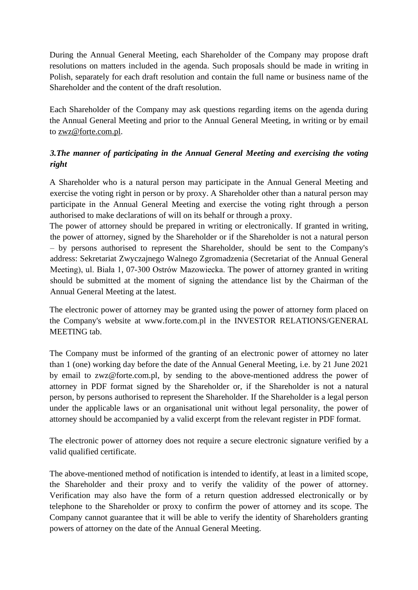During the Annual General Meeting, each Shareholder of the Company may propose draft resolutions on matters included in the agenda. Such proposals should be made in writing in Polish, separately for each draft resolution and contain the full name or business name of the Shareholder and the content of the draft resolution.

Each Shareholder of the Company may ask questions regarding items on the agenda during the Annual General Meeting and prior to the Annual General Meeting, in writing or by email to zwz@forte.com.pl.

# *3.The manner of participating in the Annual General Meeting and exercising the voting right*

A Shareholder who is a natural person may participate in the Annual General Meeting and exercise the voting right in person or by proxy. A Shareholder other than a natural person may participate in the Annual General Meeting and exercise the voting right through a person authorised to make declarations of will on its behalf or through a proxy.

The power of attorney should be prepared in writing or electronically. If granted in writing, the power of attorney, signed by the Shareholder or if the Shareholder is not a natural person – by persons authorised to represent the Shareholder, should be sent to the Company's address: Sekretariat Zwyczajnego Walnego Zgromadzenia (Secretariat of the Annual General Meeting), ul. Biała 1, 07-300 Ostrów Mazowiecka. The power of attorney granted in writing should be submitted at the moment of signing the attendance list by the Chairman of the Annual General Meeting at the latest.

The electronic power of attorney may be granted using the power of attorney form placed on the Company's website at www.forte.com.pl in the INVESTOR RELATIONS/GENERAL MEETING tab.

The Company must be informed of the granting of an electronic power of attorney no later than 1 (one) working day before the date of the Annual General Meeting, i.e. by 21 June 2021 by email to zwz@forte.com.pl, by sending to the above-mentioned address the power of attorney in PDF format signed by the Shareholder or, if the Shareholder is not a natural person, by persons authorised to represent the Shareholder. If the Shareholder is a legal person under the applicable laws or an organisational unit without legal personality, the power of attorney should be accompanied by a valid excerpt from the relevant register in PDF format.

The electronic power of attorney does not require a secure electronic signature verified by a valid qualified certificate.

The above-mentioned method of notification is intended to identify, at least in a limited scope, the Shareholder and their proxy and to verify the validity of the power of attorney. Verification may also have the form of a return question addressed electronically or by telephone to the Shareholder or proxy to confirm the power of attorney and its scope. The Company cannot guarantee that it will be able to verify the identity of Shareholders granting powers of attorney on the date of the Annual General Meeting.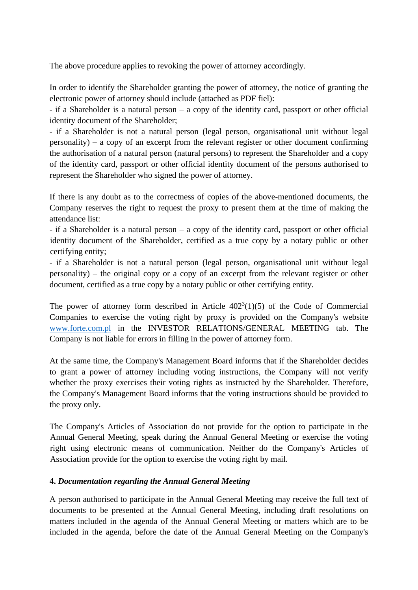The above procedure applies to revoking the power of attorney accordingly.

In order to identify the Shareholder granting the power of attorney, the notice of granting the electronic power of attorney should include (attached as PDF fiel):

- if a Shareholder is a natural person – a copy of the identity card, passport or other official identity document of the Shareholder;

- if a Shareholder is not a natural person (legal person, organisational unit without legal personality) – a copy of an excerpt from the relevant register or other document confirming the authorisation of a natural person (natural persons) to represent the Shareholder and a copy of the identity card, passport or other official identity document of the persons authorised to represent the Shareholder who signed the power of attorney.

If there is any doubt as to the correctness of copies of the above-mentioned documents, the Company reserves the right to request the proxy to present them at the time of making the attendance list:

- if a Shareholder is a natural person – a copy of the identity card, passport or other official identity document of the Shareholder, certified as a true copy by a notary public or other certifying entity;

- if a Shareholder is not a natural person (legal person, organisational unit without legal personality) – the original copy or a copy of an excerpt from the relevant register or other document, certified as a true copy by a notary public or other certifying entity.

The power of attorney form described in Article  $402<sup>3</sup>(1)(5)$  of the Code of Commercial Companies to exercise the voting right by proxy is provided on the Company's website [www.forte.com.pl](http://www.forte.com.pl/) in the INVESTOR RELATIONS/GENERAL MEETING tab. The Company is not liable for errors in filling in the power of attorney form.

At the same time, the Company's Management Board informs that if the Shareholder decides to grant a power of attorney including voting instructions, the Company will not verify whether the proxy exercises their voting rights as instructed by the Shareholder. Therefore, the Company's Management Board informs that the voting instructions should be provided to the proxy only.

The Company's Articles of Association do not provide for the option to participate in the Annual General Meeting, speak during the Annual General Meeting or exercise the voting right using electronic means of communication. Neither do the Company's Articles of Association provide for the option to exercise the voting right by mail.

### **4.** *Documentation regarding the Annual General Meeting*

A person authorised to participate in the Annual General Meeting may receive the full text of documents to be presented at the Annual General Meeting, including draft resolutions on matters included in the agenda of the Annual General Meeting or matters which are to be included in the agenda, before the date of the Annual General Meeting on the Company's